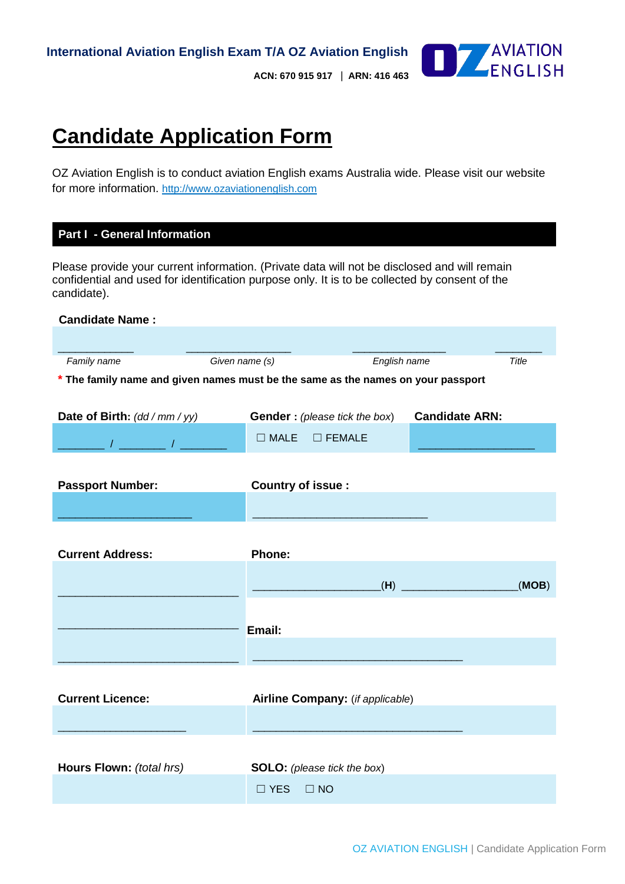

 **ACN: 670 915 917** | **ARN: 416 463** 

# **Candidate Application Form**

OZ Aviation English is to conduct aviation English exams Australia wide. Please visit our website for more information. [http://www.ozaviationenglish.com](http://www.ozaviationenglish.com/)

### **Part I - General Information**

Please provide your current information. (Private data will not be disclosed and will remain confidential and used for identification purpose only. It is to be collected by consent of the candidate).

| <b>Candidate Name:</b>                                                                                                                                        |                      |                                       |                       |       |
|---------------------------------------------------------------------------------------------------------------------------------------------------------------|----------------------|---------------------------------------|-----------------------|-------|
|                                                                                                                                                               |                      |                                       |                       |       |
| Family name                                                                                                                                                   | Given name (s)       | English name                          |                       | Title |
| * The family name and given names must be the same as the names on your passport                                                                              |                      |                                       |                       |       |
|                                                                                                                                                               |                      |                                       |                       |       |
| Date of Birth: $(dd/mm/yy)$                                                                                                                                   |                      | <b>Gender</b> : (please tick the box) | <b>Candidate ARN:</b> |       |
|                                                                                                                                                               |                      |                                       |                       |       |
| $\frac{1}{2}$ , $\frac{1}{2}$ , $\frac{1}{2}$ , $\frac{1}{2}$ , $\frac{1}{2}$ , $\frac{1}{2}$ , $\frac{1}{2}$ , $\frac{1}{2}$ , $\frac{1}{2}$ , $\frac{1}{2}$ |                      | $\Box$ MALE $\Box$ FEMALE             |                       |       |
|                                                                                                                                                               |                      |                                       |                       |       |
| <b>Passport Number:</b>                                                                                                                                       | Country of issue :   |                                       |                       |       |
|                                                                                                                                                               |                      |                                       |                       |       |
|                                                                                                                                                               |                      |                                       |                       |       |
|                                                                                                                                                               |                      |                                       |                       |       |
| <b>Current Address:</b>                                                                                                                                       | <b>Phone:</b>        |                                       |                       |       |
|                                                                                                                                                               |                      |                                       |                       |       |
|                                                                                                                                                               |                      |                                       |                       | (MOB) |
|                                                                                                                                                               |                      |                                       |                       |       |
|                                                                                                                                                               | <b>Email:</b>        |                                       |                       |       |
|                                                                                                                                                               |                      |                                       |                       |       |
|                                                                                                                                                               |                      |                                       |                       |       |
|                                                                                                                                                               |                      |                                       |                       |       |
| <b>Current Licence:</b>                                                                                                                                       |                      | Airline Company: (if applicable)      |                       |       |
|                                                                                                                                                               |                      |                                       |                       |       |
|                                                                                                                                                               |                      |                                       |                       |       |
|                                                                                                                                                               |                      |                                       |                       |       |
| Hours Flown: (total hrs)                                                                                                                                      |                      | <b>SOLO:</b> (please tick the box)    |                       |       |
|                                                                                                                                                               | $\Box$ YES $\Box$ NO |                                       |                       |       |